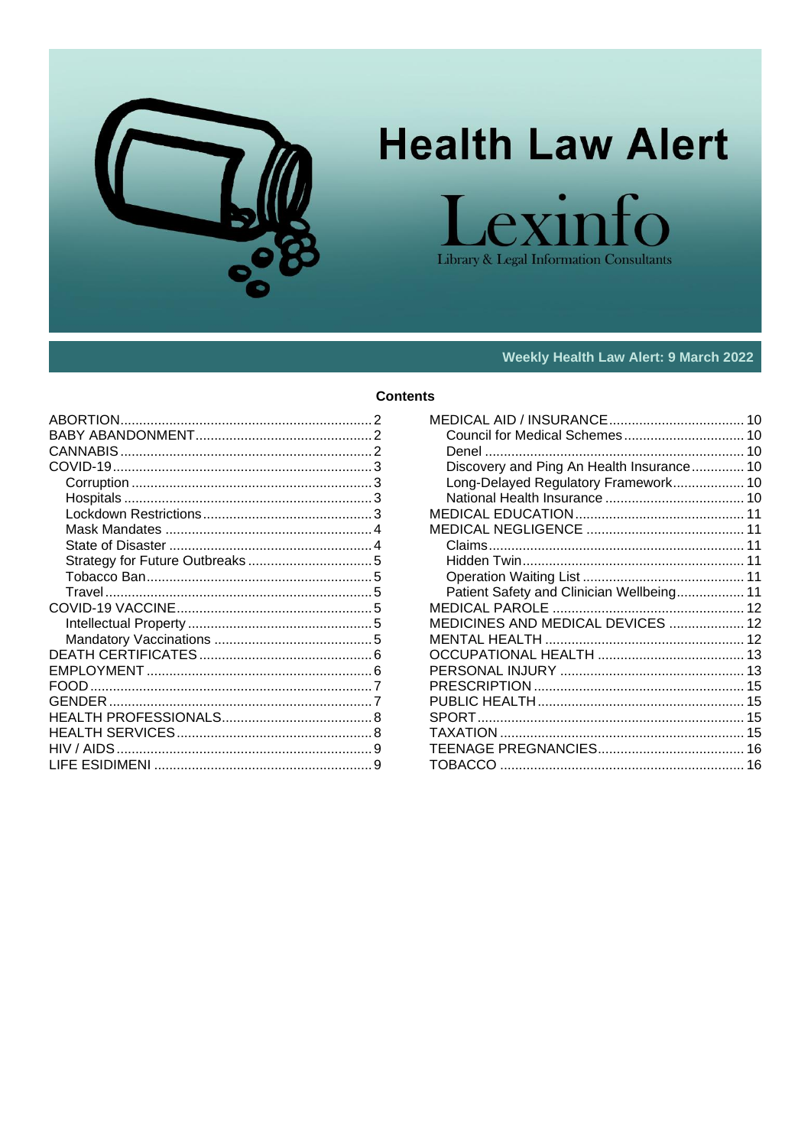<span id="page-0-1"></span>

# **Health Law Alert**

 $\overline{\Omega}$ Library & Legal Information Consultants

## Weekly Health Law Alert: 9 March 2022

## **Contents**

<span id="page-0-0"></span>

| Discovery and Ping An Health Insurance 10 |  |
|-------------------------------------------|--|
| Long-Delayed Regulatory Framework 10      |  |
|                                           |  |
|                                           |  |
|                                           |  |
|                                           |  |
|                                           |  |
|                                           |  |
| Patient Safety and Clinician Wellbeing 11 |  |
|                                           |  |
| MEDICINES AND MEDICAL DEVICES  12         |  |
|                                           |  |
|                                           |  |
|                                           |  |
|                                           |  |
|                                           |  |
|                                           |  |
|                                           |  |
|                                           |  |
|                                           |  |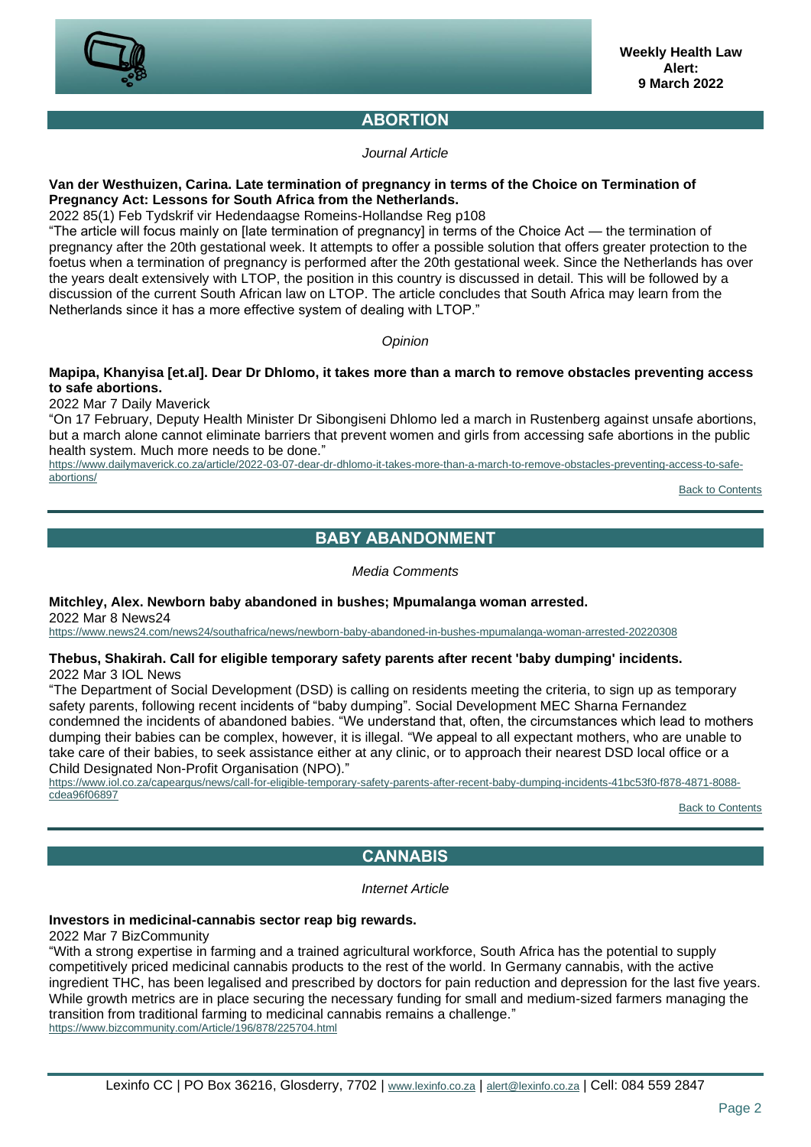

# **ABORTION**

## *Journal Article*

## **Van der Westhuizen, Carina. Late termination of pregnancy in terms of the Choice on Termination of Pregnancy Act: Lessons for South Africa from the Netherlands.**

2022 85(1) Feb Tydskrif vir Hedendaagse Romeins-Hollandse Reg p108

"The article will focus mainly on [late termination of pregnancy] in terms of the Choice Act — the termination of pregnancy after the 20th gestational week. It attempts to offer a possible solution that offers greater protection to the foetus when a termination of pregnancy is performed after the 20th gestational week. Since the Netherlands has over the years dealt extensively with LTOP, the position in this country is discussed in detail. This will be followed by a discussion of the current South African law on LTOP. The article concludes that South Africa may learn from the Netherlands since it has a more effective system of dealing with LTOP."

## *Opinion*

## **Mapipa, Khanyisa [et.al]. Dear Dr Dhlomo, it takes more than a march to remove obstacles preventing access to safe abortions.**

2022 Mar 7 Daily Maverick

"On 17 February, Deputy Health Minister Dr Sibongiseni Dhlomo led a march in Rustenberg against unsafe abortions, but a march alone cannot eliminate barriers that prevent women and girls from accessing safe abortions in the public health system. Much more needs to be done."

[https://www.dailymaverick.co.za/article/2022-03-07-dear-dr-dhlomo-it-takes-more-than-a-march-to-remove-obstacles-preventing-access-to-safe](https://www.dailymaverick.co.za/article/2022-03-07-dear-dr-dhlomo-it-takes-more-than-a-march-to-remove-obstacles-preventing-access-to-safe-abortions/)[abortions/](https://www.dailymaverick.co.za/article/2022-03-07-dear-dr-dhlomo-it-takes-more-than-a-march-to-remove-obstacles-preventing-access-to-safe-abortions/)

[Back to Contents](#page-0-1)

# **BABY ABANDONMENT**

*Media Comments*

#### <span id="page-1-0"></span>**Mitchley, Alex. Newborn baby abandoned in bushes; Mpumalanga woman arrested.** 2022 Mar 8 News24

<https://www.news24.com/news24/southafrica/news/newborn-baby-abandoned-in-bushes-mpumalanga-woman-arrested-20220308>

## **Thebus, Shakirah. Call for eligible temporary safety parents after recent 'baby dumping' incidents.** 2022 Mar 3 IOL News

"The Department of Social Development (DSD) is calling on residents meeting the criteria, to sign up as temporary safety parents, following recent incidents of "baby dumping". Social Development MEC Sharna Fernandez condemned the incidents of abandoned babies. "We understand that, often, the circumstances which lead to mothers dumping their babies can be complex, however, it is illegal. "We appeal to all expectant mothers, who are unable to take care of their babies, to seek assistance either at any clinic, or to approach their nearest DSD local office or a Child Designated Non-Profit Organisation (NPO)."

[https://www.iol.co.za/capeargus/news/call-for-eligible-temporary-safety-parents-after-recent-baby-dumping-incidents-41bc53f0-f878-4871-8088](https://www.iol.co.za/capeargus/news/call-for-eligible-temporary-safety-parents-after-recent-baby-dumping-incidents-41bc53f0-f878-4871-8088-cdea96f06897) [cdea96f06897](https://www.iol.co.za/capeargus/news/call-for-eligible-temporary-safety-parents-after-recent-baby-dumping-incidents-41bc53f0-f878-4871-8088-cdea96f06897)

[Back to Contents](#page-0-1)

# **CANNABIS**

*Internet Article*

## <span id="page-1-1"></span>**Investors in medicinal-cannabis sector reap big rewards.**

2022 Mar 7 BizCommunity

"With a strong expertise in farming and a trained agricultural workforce, South Africa has the potential to supply competitively priced medicinal cannabis products to the rest of the world. In Germany cannabis, with the active ingredient THC, has been legalised and prescribed by doctors for pain reduction and depression for the last five years. While growth metrics are in place securing the necessary funding for small and medium-sized farmers managing the transition from traditional farming to medicinal cannabis remains a challenge." <https://www.bizcommunity.com/Article/196/878/225704.html>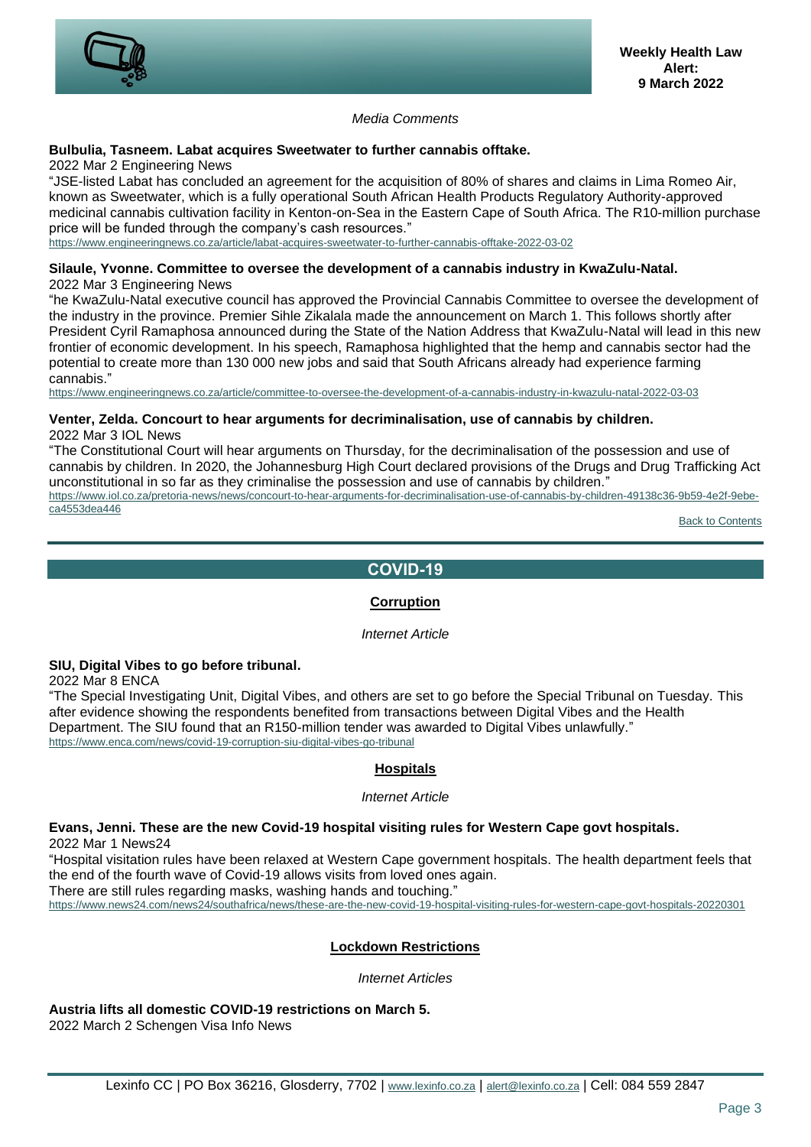

## *Media Comments*

## **Bulbulia, Tasneem. Labat acquires Sweetwater to further cannabis offtake.**

2022 Mar 2 Engineering News

"JSE-listed Labat has concluded an agreement for the acquisition of 80% of shares and claims in Lima Romeo Air, known as Sweetwater, which is a fully operational South African Health Products Regulatory Authority-approved medicinal cannabis cultivation facility in Kenton-on-Sea in the Eastern Cape of South Africa. The R10-million purchase price will be funded through the company's cash resources."

<https://www.engineeringnews.co.za/article/labat-acquires-sweetwater-to-further-cannabis-offtake-2022-03-02>

#### **Silaule, Yvonne. Committee to oversee the development of a cannabis industry in KwaZulu-Natal.** 2022 Mar 3 Engineering News

"he KwaZulu-Natal executive council has approved the Provincial Cannabis Committee to oversee the development of the industry in the province. Premier Sihle Zikalala made the announcement on March 1. This follows shortly after President Cyril Ramaphosa announced during the State of the Nation Address that KwaZulu-Natal will lead in this new frontier of economic development. In his speech, Ramaphosa highlighted that the hemp and cannabis sector had the potential to create more than 130 000 new jobs and said that South Africans already had experience farming cannabis."

<https://www.engineeringnews.co.za/article/committee-to-oversee-the-development-of-a-cannabis-industry-in-kwazulu-natal-2022-03-03>

## **Venter, Zelda. Concourt to hear arguments for decriminalisation, use of cannabis by children.** 2022 Mar 3 IOL News

"The Constitutional Court will hear arguments on Thursday, for the decriminalisation of the possession and use of cannabis by children. In 2020, the Johannesburg High Court declared provisions of the Drugs and Drug Trafficking Act unconstitutional in so far as they criminalise the possession and use of cannabis by children."

<span id="page-2-0"></span>[https://www.iol.co.za/pretoria-news/news/concourt-to-hear-arguments-for-decriminalisation-use-of-cannabis-by-children-49138c36-9b59-4e2f-9ebe](https://www.iol.co.za/pretoria-news/news/concourt-to-hear-arguments-for-decriminalisation-use-of-cannabis-by-children-49138c36-9b59-4e2f-9ebe-ca4553dea446)[ca4553dea446](https://www.iol.co.za/pretoria-news/news/concourt-to-hear-arguments-for-decriminalisation-use-of-cannabis-by-children-49138c36-9b59-4e2f-9ebe-ca4553dea446)

[Back to Contents](#page-0-1)

# **COVID-19**

## **Corruption**

*Internet Article*

## <span id="page-2-1"></span>**SIU, Digital Vibes to go before tribunal.**

2022 Mar 8 ENCA

"The Special Investigating Unit, Digital Vibes, and others are set to go before the Special Tribunal on Tuesday. This after evidence showing the respondents benefited from transactions between Digital Vibes and the Health Department. The SIU found that an R150-million tender was awarded to Digital Vibes unlawfully." <https://www.enca.com/news/covid-19-corruption-siu-digital-vibes-go-tribunal>

## **Hospitals**

## *Internet Article*

## <span id="page-2-2"></span>**Evans, Jenni. These are the new Covid-19 hospital visiting rules for Western Cape govt hospitals.**

2022 Mar 1 News24

"Hospital visitation rules have been relaxed at Western Cape government hospitals. The health department feels that the end of the fourth wave of Covid-19 allows visits from loved ones again.

There are still rules regarding masks, washing hands and touching."

<span id="page-2-3"></span><https://www.news24.com/news24/southafrica/news/these-are-the-new-covid-19-hospital-visiting-rules-for-western-cape-govt-hospitals-20220301>

## **Lockdown Restrictions**

*Internet Articles*

**Austria lifts all domestic COVID-19 restrictions on March 5.** 

2022 March 2 Schengen Visa Info News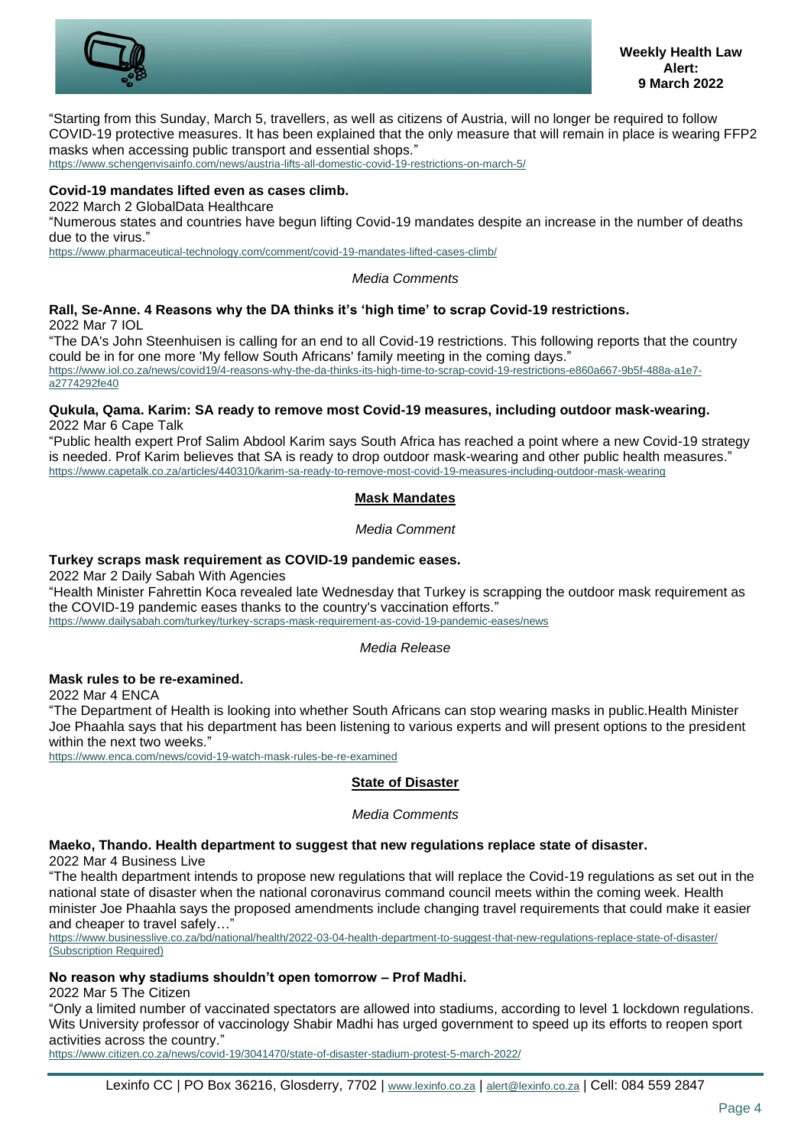

"Starting from this Sunday, March 5, travellers, as well as citizens of Austria, will no longer be required to follow COVID-19 protective measures. It has been explained that the only measure that will remain in place is wearing FFP2 masks when accessing public transport and essential shops."

<https://www.schengenvisainfo.com/news/austria-lifts-all-domestic-covid-19-restrictions-on-march-5/>

## **Covid-19 mandates lifted even as cases climb.**

2022 March 2 GlobalData Healthcare

"Numerous states and countries have begun lifting Covid-19 mandates despite an increase in the number of deaths due to the virus."

<https://www.pharmaceutical-technology.com/comment/covid-19-mandates-lifted-cases-climb/>

#### *Media Comments*

## **Rall, Se-Anne. 4 Reasons why the DA thinks it's 'high time' to scrap Covid-19 restrictions.** 2022 Mar 7 IOL

"The DA's John Steenhuisen is calling for an end to all Covid-19 restrictions. This following reports that the country could be in for one more 'My fellow South Africans' family meeting in the coming days." [https://www.iol.co.za/news/covid19/4-reasons-why-the-da-thinks-its-high-time-to-scrap-covid-19-restrictions-e860a667-9b5f-488a-a1e7-](https://www.iol.co.za/news/covid19/4-reasons-why-the-da-thinks-its-high-time-to-scrap-covid-19-restrictions-e860a667-9b5f-488a-a1e7-a2774292fe40)

[a2774292fe40](https://www.iol.co.za/news/covid19/4-reasons-why-the-da-thinks-its-high-time-to-scrap-covid-19-restrictions-e860a667-9b5f-488a-a1e7-a2774292fe40)

#### **Qukula, Qama. Karim: SA ready to remove most Covid-19 measures, including outdoor mask-wearing.** 2022 Mar 6 Cape Talk

<span id="page-3-0"></span>"Public health expert Prof Salim Abdool Karim says South Africa has reached a point where a new Covid-19 strategy is needed. Prof Karim believes that SA is ready to drop outdoor mask-wearing and other public health measures." <https://www.capetalk.co.za/articles/440310/karim-sa-ready-to-remove-most-covid-19-measures-including-outdoor-mask-wearing>

## **Mask Mandates**

## *Media Comment*

## **Turkey scraps mask requirement as COVID-19 pandemic eases.**

2022 Mar 2 Daily Sabah With Agencies

"Health Minister Fahrettin Koca revealed late Wednesday that Turkey is scrapping the outdoor mask requirement as the COVID-19 pandemic eases thanks to the country's vaccination efforts." <https://www.dailysabah.com/turkey/turkey-scraps-mask-requirement-as-covid-19-pandemic-eases/news>

#### *Media Release*

## **Mask rules to be re-examined.**

2022 Mar 4 ENCA

"The Department of Health is looking into whether South Africans can stop wearing masks in public.Health Minister Joe Phaahla says that his department has been listening to various experts and will present options to the president within the next two weeks."

<span id="page-3-1"></span><https://www.enca.com/news/covid-19-watch-mask-rules-be-re-examined>

## **State of Disaster**

*Media Comments*

# **Maeko, Thando. Health department to suggest that new regulations replace state of disaster.**

2022 Mar 4 Business Live

"The health department intends to propose new regulations that will replace the Covid-19 regulations as set out in the national state of disaster when the national coronavirus command council meets within the coming week. Health minister Joe Phaahla says the proposed amendments include changing travel requirements that could make it easier and cheaper to travel safely...

[https://www.businesslive.co.za/bd/national/health/2022-03-04-health-department-to-suggest-that-new-regulations-replace-state-of-disaster/](https://www.businesslive.co.za/bd/national/health/2022-03-04-health-department-to-suggest-that-new-regulations-replace-state-of-disaster/%20%20(Subscription)  [\(Subscription](https://www.businesslive.co.za/bd/national/health/2022-03-04-health-department-to-suggest-that-new-regulations-replace-state-of-disaster/%20%20(Subscription) Required)

## **No reason why stadiums shouldn't open tomorrow – Prof Madhi.**

2022 Mar 5 The Citizen

"Only a limited number of vaccinated spectators are allowed into stadiums, according to level 1 lockdown regulations. Wits University professor of vaccinology Shabir Madhi has urged government to speed up its efforts to reopen sport activities across the country."

<https://www.citizen.co.za/news/covid-19/3041470/state-of-disaster-stadium-protest-5-march-2022/>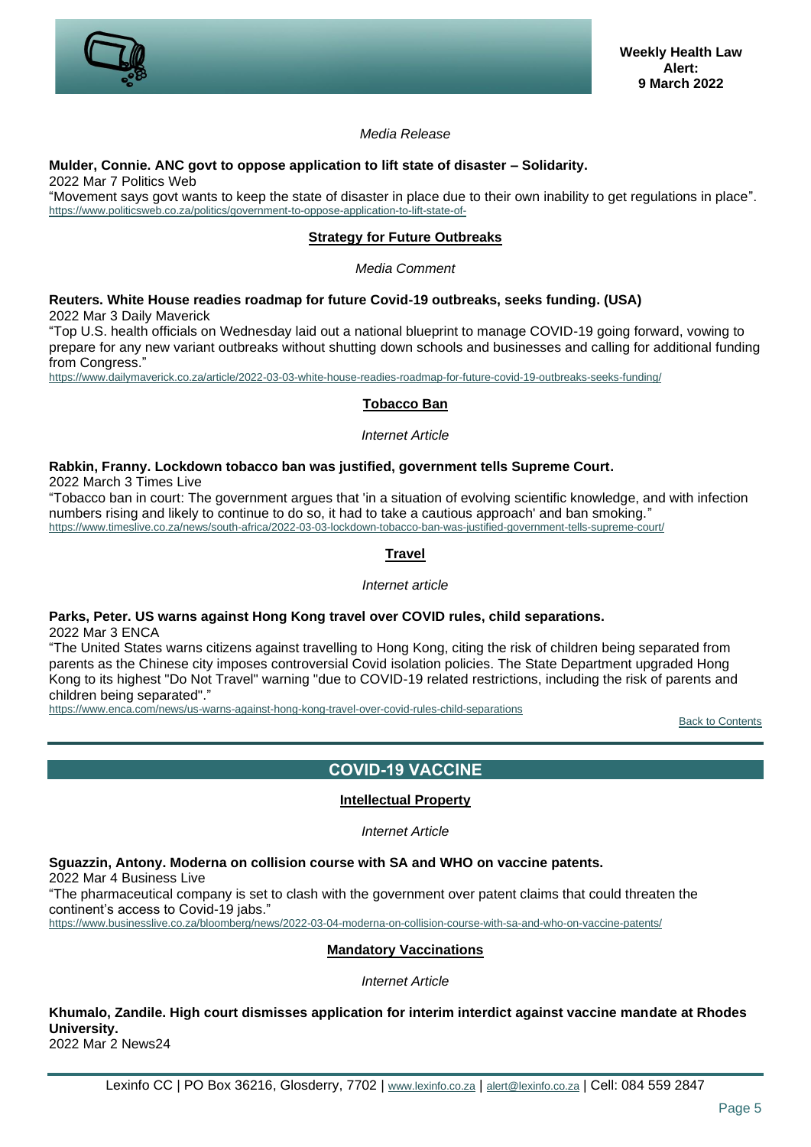

## *Media Release*

# **Mulder, Connie. ANC govt to oppose application to lift state of disaster – Solidarity.**

2022 Mar 7 Politics Web

<span id="page-4-0"></span>"Movement says govt wants to keep the state of disaster in place due to their own inability to get regulations in place". <https://www.politicsweb.co.za/politics/government-to-oppose-application-to-lift-state-of->

## **Strategy for Future Outbreaks**

*Media Comment*

#### **Reuters. White House readies roadmap for future Covid-19 outbreaks, seeks funding. (USA)** 2022 Mar 3 Daily Maverick

"Top U.S. health officials on Wednesday laid out a national blueprint to manage COVID-19 going forward, vowing to prepare for any new variant outbreaks without shutting down schools and businesses and calling for additional funding from Congress."

<span id="page-4-1"></span><https://www.dailymaverick.co.za/article/2022-03-03-white-house-readies-roadmap-for-future-covid-19-outbreaks-seeks-funding/>

## **Tobacco Ban**

*Internet Article*

# **Rabkin, Franny. Lockdown tobacco ban was justified, government tells Supreme Court.**

2022 March 3 Times Live

<span id="page-4-2"></span>"Tobacco ban in court: The government argues that 'in a situation of evolving scientific knowledge, and with infection numbers rising and likely to continue to do so, it had to take a cautious approach' and ban smoking." <https://www.timeslive.co.za/news/south-africa/2022-03-03-lockdown-tobacco-ban-was-justified-government-tells-supreme-court/>

## **Travel**

*Internet article*

## **Parks, Peter. US warns against Hong Kong travel over COVID rules, child separations.**

2022 Mar 3 ENCA

"The United States warns citizens against travelling to Hong Kong, citing the risk of children being separated from parents as the Chinese city imposes controversial Covid isolation policies. The State Department upgraded Hong Kong to its highest "Do Not Travel" warning "due to COVID-19 related restrictions, including the risk of parents and children being separated"."

<span id="page-4-3"></span><https://www.enca.com/news/us-warns-against-hong-kong-travel-over-covid-rules-child-separations>

[Back to Contents](#page-0-1)

# **COVID-19 VACCINE**

## **Intellectual Property**

*Internet Article* 

## <span id="page-4-4"></span>**Sguazzin, Antony. Moderna on collision course with SA and WHO on vaccine patents.**

2022 Mar 4 Business Live

"The pharmaceutical company is set to clash with the government over patent claims that could threaten the continent's access to Covid-19 jabs."

<span id="page-4-5"></span><https://www.businesslive.co.za/bloomberg/news/2022-03-04-moderna-on-collision-course-with-sa-and-who-on-vaccine-patents/>

## **Mandatory Vaccinations**

*Internet Article*

**Khumalo, Zandile. High court dismisses application for interim interdict against vaccine mandate at Rhodes University.**

2022 Mar 2 News24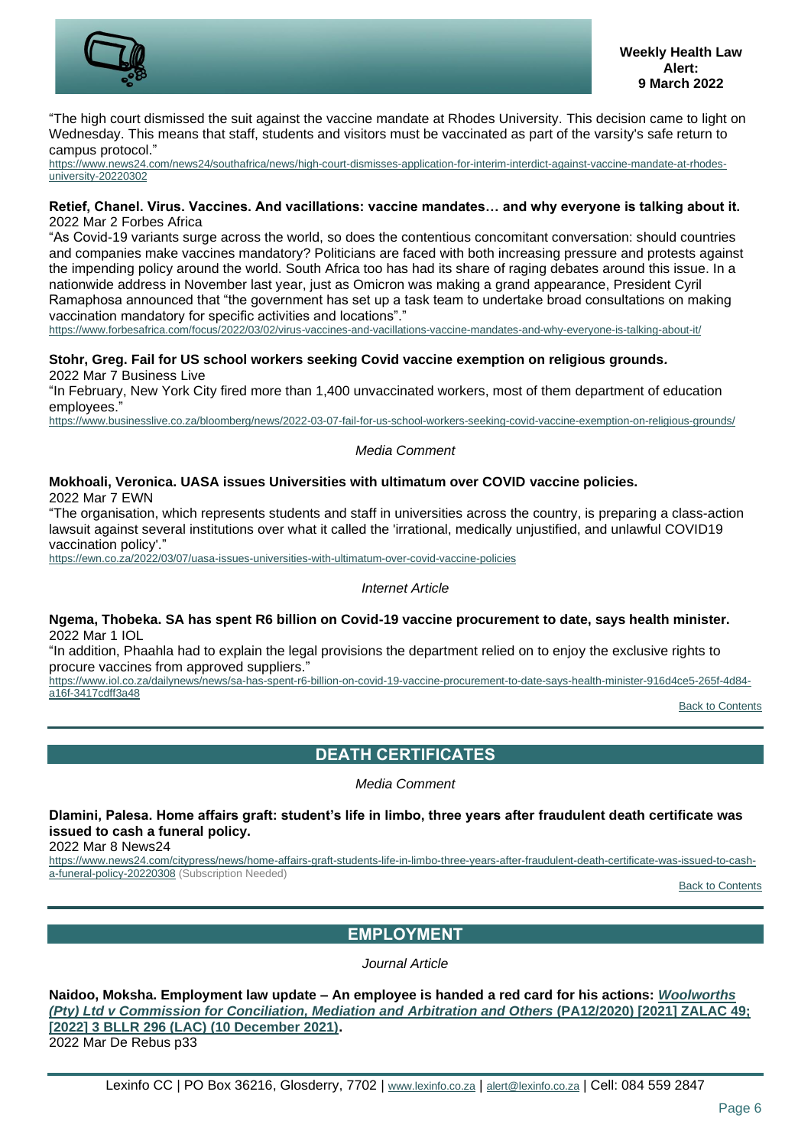

"The high court dismissed the suit against the vaccine mandate at Rhodes University. This decision came to light on Wednesday. This means that staff, students and visitors must be vaccinated as part of the varsity's safe return to campus protocol."

[https://www.news24.com/news24/southafrica/news/high-court-dismisses-application-for-interim-interdict-against-vaccine-mandate-at-rhodes](https://www.news24.com/news24/southafrica/news/high-court-dismisses-application-for-interim-interdict-against-vaccine-mandate-at-rhodes-university-20220302)[university-20220302](https://www.news24.com/news24/southafrica/news/high-court-dismisses-application-for-interim-interdict-against-vaccine-mandate-at-rhodes-university-20220302)

## **Retief, Chanel. Virus. Vaccines. And vacillations: vaccine mandates… and why everyone is talking about it.**  2022 Mar 2 Forbes Africa

"As Covid-19 variants surge across the world, so does the contentious concomitant conversation: should countries and companies make vaccines mandatory? Politicians are faced with both increasing pressure and protests against the impending policy around the world. South Africa too has had its share of raging debates around this issue. In a nationwide address in November last year, just as Omicron was making a grand appearance, President Cyril Ramaphosa announced that "the government has set up a task team to undertake broad consultations on making vaccination mandatory for specific activities and locations"."

<https://www.forbesafrica.com/focus/2022/03/02/virus-vaccines-and-vacillations-vaccine-mandates-and-why-everyone-is-talking-about-it/>

## **Stohr, Greg. Fail for US school workers seeking Covid vaccine exemption on religious grounds***.* 2022 Mar 7 Business Live

"In February, New York City fired more than 1,400 unvaccinated workers, most of them department of education employees."

<https://www.businesslive.co.za/bloomberg/news/2022-03-07-fail-for-us-school-workers-seeking-covid-vaccine-exemption-on-religious-grounds/>

## *Media Comment*

## **Mokhoali, Veronica. UASA issues Universities with ultimatum over COVID vaccine policies.** 2022 Mar 7 EWN

"The organisation, which represents students and staff in universities across the country, is preparing a class-action lawsuit against several institutions over what it called the 'irrational, medically unjustified, and unlawful COVID19 vaccination policy'."

<https://ewn.co.za/2022/03/07/uasa-issues-universities-with-ultimatum-over-covid-vaccine-policies>

## *Internet Article*

## **Ngema, Thobeka. SA has spent R6 billion on Covid-19 vaccine procurement to date, says health minister.** 2022 Mar 1 IOL

"In addition, Phaahla had to explain the legal provisions the department relied on to enjoy the exclusive rights to procure vaccines from approved suppliers."

[https://www.iol.co.za/dailynews/news/sa-has-spent-r6-billion-on-covid-19-vaccine-procurement-to-date-says-health-minister-916d4ce5-265f-4d84](https://www.iol.co.za/dailynews/news/sa-has-spent-r6-billion-on-covid-19-vaccine-procurement-to-date-says-health-minister-916d4ce5-265f-4d84-a16f-3417cdff3a48) [a16f-3417cdff3a48](https://www.iol.co.za/dailynews/news/sa-has-spent-r6-billion-on-covid-19-vaccine-procurement-to-date-says-health-minister-916d4ce5-265f-4d84-a16f-3417cdff3a48)

**[Back to Contents](#page-0-1)** 

# **DEATH CERTIFICATES**

*Media Comment*

<span id="page-5-0"></span>**Dlamini, Palesa. Home affairs graft: student's life in limbo, three years after fraudulent death certificate was issued to cash a funeral policy.**

2022 Mar 8 News24

[https://www.news24.com/citypress/news/home-affairs-graft-students-life-in-limbo-three-years-after-fraudulent-death-certificate-was-issued-to-cash](https://www.news24.com/citypress/news/home-affairs-graft-students-life-in-limbo-three-years-after-fraudulent-death-certificate-was-issued-to-cash-a-funeral-policy-20220308)[a-funeral-policy-20220308](https://www.news24.com/citypress/news/home-affairs-graft-students-life-in-limbo-three-years-after-fraudulent-death-certificate-was-issued-to-cash-a-funeral-policy-20220308) (Subscription Needed)

**[Back to Contents](#page-0-1)** 

# **EMPLOYMENT**

*Journal Article*

<span id="page-5-1"></span>**Naidoo, Moksha. Employment law update – An employee is handed a red card for his actions:** *[Woolworths](http://www.saflii.org/za/cases/ZALAC/2021/49.pdf)  [\(Pty\) Ltd v Commission for Conciliation, Mediation and Arbitration and Others](http://www.saflii.org/za/cases/ZALAC/2021/49.pdf)* **(PA12/2020) [2021] ZALAC 49; [\[2022\] 3 BLLR 296 \(LAC\) \(10 December 2021\).](http://www.saflii.org/za/cases/ZALAC/2021/49.pdf)** 2022 Mar De Rebus p33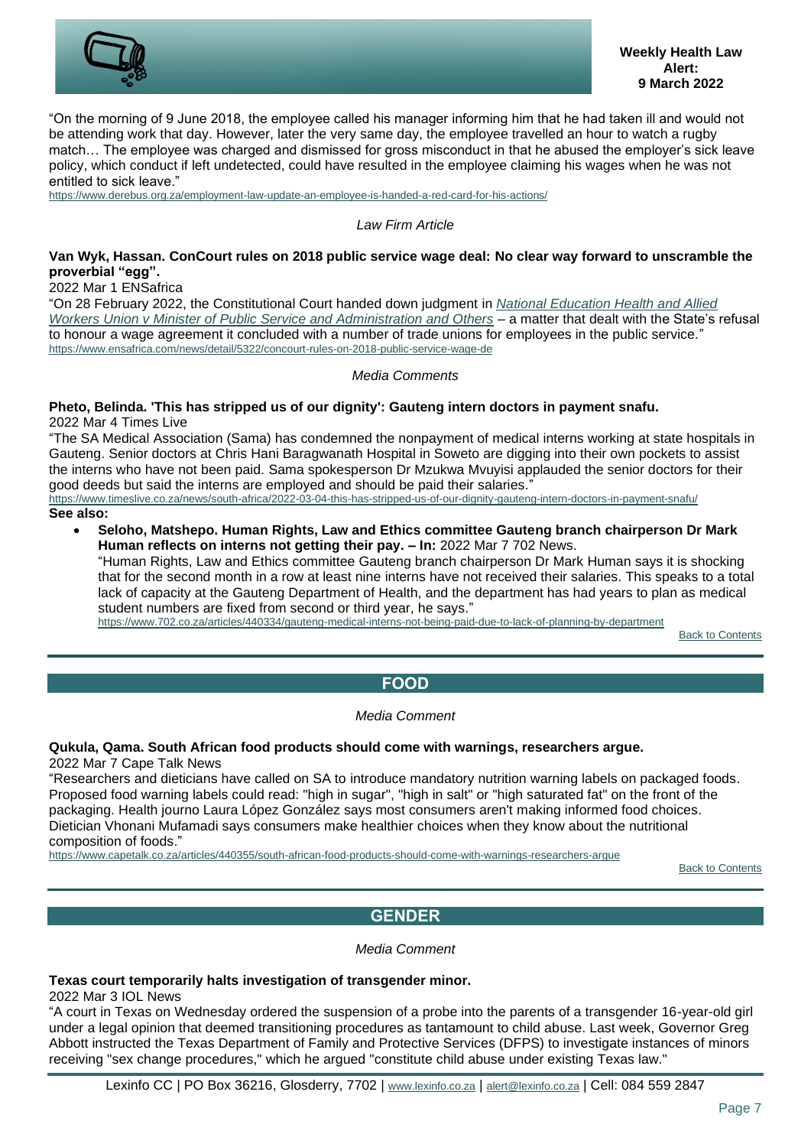

"On the morning of 9 June 2018, the employee called his manager informing him that he had taken ill and would not be attending work that day. However, later the very same day, the employee travelled an hour to watch a rugby match… The employee was charged and dismissed for gross misconduct in that he abused the employer's sick leave policy, which conduct if left undetected, could have resulted in the employee claiming his wages when he was not entitled to sick leave."

<https://www.derebus.org.za/employment-law-update-an-employee-is-handed-a-red-card-for-his-actions/>

## *Law Firm Article*

## **Van Wyk, Hassan. ConCourt rules on 2018 public service wage deal: No clear way forward to unscramble the proverbial "egg".**

2022 Mar 1 ENSafrica

"On 28 February 2022, the Constitutional Court handed down judgment in *[National Education Health and Allied](http://www.saflii.org/za/cases/ZACC/2022/6.pdf)  [Workers Union v Minister of Public Service and Administration and Others](http://www.saflii.org/za/cases/ZACC/2022/6.pdf)* – a matter that dealt with the State's refusal to honour a wage agreement it concluded with a number of trade unions for employees in the public service." <https://www.ensafrica.com/news/detail/5322/concourt-rules-on-2018-public-service-wage-de>

*Media Comments*

#### **Pheto, Belinda. 'This has stripped us of our dignity': Gauteng intern doctors in payment snafu.** 2022 Mar 4 Times Live

"The SA Medical Association (Sama) has condemned the nonpayment of medical interns working at state hospitals in Gauteng. Senior doctors at Chris Hani Baragwanath Hospital in Soweto are digging into their own pockets to assist the interns who have not been paid. Sama spokesperson Dr Mzukwa Mvuyisi applauded the senior doctors for their good deeds but said the interns are employed and should be paid their salaries."

<https://www.timeslive.co.za/news/south-africa/2022-03-04-this-has-stripped-us-of-our-dignity-gauteng-intern-doctors-in-payment-snafu/> **See also:**

• **Seloho, Matshepo. Human Rights, Law and Ethics committee Gauteng branch chairperson Dr Mark Human reflects on interns not getting their pay. – In:** 2022 Mar 7 702 News.

"Human Rights, Law and Ethics committee Gauteng branch chairperson Dr Mark Human says it is shocking that for the second month in a row at least nine interns have not received their salaries. This speaks to a total lack of capacity at the Gauteng Department of Health, and the department has had years to plan as medical student numbers are fixed from second or third year, he says."

<https://www.702.co.za/articles/440334/gauteng-medical-interns-not-being-paid-due-to-lack-of-planning-by-department>

[Back to Contents](#page-0-1)

## **FOOD**

*Media Comment*

## <span id="page-6-0"></span>**Qukula, Qama. South African food products should come with warnings, researchers argue.**

2022 Mar 7 Cape Talk News

"Researchers and dieticians have called on SA to introduce mandatory nutrition warning labels on packaged foods. Proposed food warning labels could read: "high in sugar", "high in salt" or "high saturated fat" on the front of the packaging. Health journo Laura López González says most consumers aren't making informed food choices. Dietician Vhonani Mufamadi says consumers make healthier choices when they know about the nutritional composition of foods."

<span id="page-6-1"></span><https://www.capetalk.co.za/articles/440355/south-african-food-products-should-come-with-warnings-researchers-argue>

[Back to Contents](#page-0-1)

# **GENDER**

## *Media Comment*

## **Texas court temporarily halts investigation of transgender minor.**

2022 Mar 3 IOL News

"A court in Texas on Wednesday ordered the suspension of a probe into the parents of a transgender 16-year-old girl under a legal opinion that deemed transitioning procedures as tantamount to child abuse. Last week, Governor Greg Abbott instructed the Texas Department of Family and Protective Services (DFPS) to investigate instances of minors receiving "sex change procedures," which he argued "constitute child abuse under existing Texas law."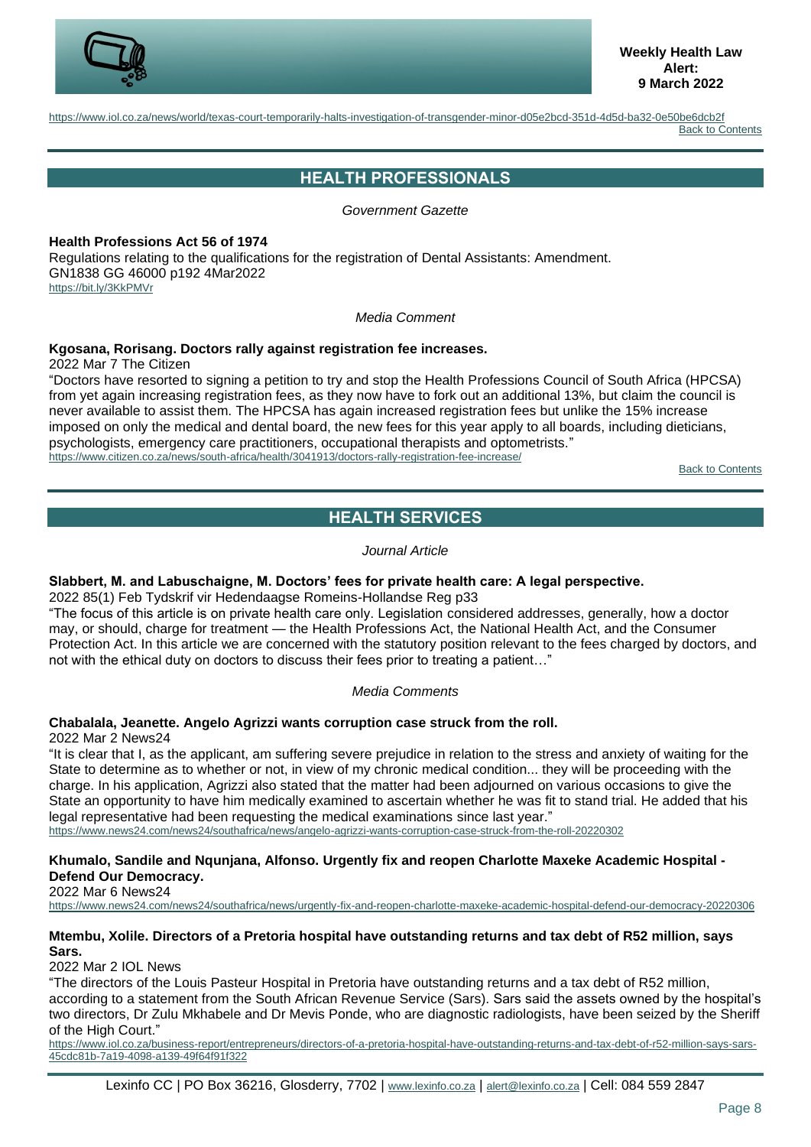

<span id="page-7-0"></span><https://www.iol.co.za/news/world/texas-court-temporarily-halts-investigation-of-transgender-minor-d05e2bcd-351d-4d5d-ba32-0e50be6dcb2f> [Back to Contents](#page-0-1)

# **HEALTH PROFESSIONALS**

*Government Gazette*

**Health Professions Act 56 of 1974** Regulations relating to the qualifications for the registration of Dental Assistants: Amendment. GN1838 GG 46000 p192 4Mar2022 <https://bit.ly/3KkPMVr>

*Media Comment*

## **Kgosana, Rorisang. Doctors rally against registration fee increases.**

2022 Mar 7 The Citizen

"Doctors have resorted to signing a petition to try and stop the Health Professions Council of South Africa (HPCSA) from yet again increasing registration fees, as they now have to fork out an additional 13%, but claim the council is never available to assist them. The HPCSA has again increased registration fees but unlike the 15% increase imposed on only the medical and dental board, the new fees for this year apply to all boards, including dieticians, psychologists, emergency care practitioners, occupational therapists and optometrists." <https://www.citizen.co.za/news/south-africa/health/3041913/doctors-rally-registration-fee-increase/>

**[Back to Contents](#page-0-1)** 

# **HEALTH SERVICES**

*Journal Article*

## <span id="page-7-1"></span>**Slabbert, M. and Labuschaigne, M. Doctors' fees for private health care: A legal perspective.**

2022 85(1) Feb Tydskrif vir Hedendaagse Romeins-Hollandse Reg p33

"The focus of this article is on private health care only. Legislation considered addresses, generally, how a doctor may, or should, charge for treatment — the Health Professions Act, the National Health Act, and the Consumer Protection Act. In this article we are concerned with the statutory position relevant to the fees charged by doctors, and not with the ethical duty on doctors to discuss their fees prior to treating a patient…"

## *Media Comments*

## **Chabalala, Jeanette. Angelo Agrizzi wants corruption case struck from the roll.**

2022 Mar 2 News24

"It is clear that I, as the applicant, am suffering severe prejudice in relation to the stress and anxiety of waiting for the State to determine as to whether or not, in view of my chronic medical condition... they will be proceeding with the charge. In his application, Agrizzi also stated that the matter had been adjourned on various occasions to give the State an opportunity to have him medically examined to ascertain whether he was fit to stand trial. He added that his legal representative had been requesting the medical examinations since last year."

<https://www.news24.com/news24/southafrica/news/angelo-agrizzi-wants-corruption-case-struck-from-the-roll-20220302>

## **Khumalo, Sandile and Nqunjana, Alfonso. Urgently fix and reopen Charlotte Maxeke Academic Hospital - Defend Our Democracy.**

2022 Mar 6 News24

<https://www.news24.com/news24/southafrica/news/urgently-fix-and-reopen-charlotte-maxeke-academic-hospital-defend-our-democracy-20220306>

## **Mtembu, Xolile. Directors of a Pretoria hospital have outstanding returns and tax debt of R52 million, says Sars.**

2022 Mar 2 IOL News

"The directors of the Louis Pasteur Hospital in Pretoria have outstanding returns and a tax debt of R52 million, according to a statement from the South African Revenue Service (Sars). Sars said the assets owned by the hospital's two directors, Dr Zulu Mkhabele and Dr Mevis Ponde, who are diagnostic radiologists, have been seized by the Sheriff of the High Court."

[https://www.iol.co.za/business-report/entrepreneurs/directors-of-a-pretoria-hospital-have-outstanding-returns-and-tax-debt-of-r52-million-says-sars-](https://www.iol.co.za/business-report/entrepreneurs/directors-of-a-pretoria-hospital-have-outstanding-returns-and-tax-debt-of-r52-million-says-sars-45cdc81b-7a19-4098-a139-49f64f91f322)[45cdc81b-7a19-4098-a139-49f64f91f322](https://www.iol.co.za/business-report/entrepreneurs/directors-of-a-pretoria-hospital-have-outstanding-returns-and-tax-debt-of-r52-million-says-sars-45cdc81b-7a19-4098-a139-49f64f91f322)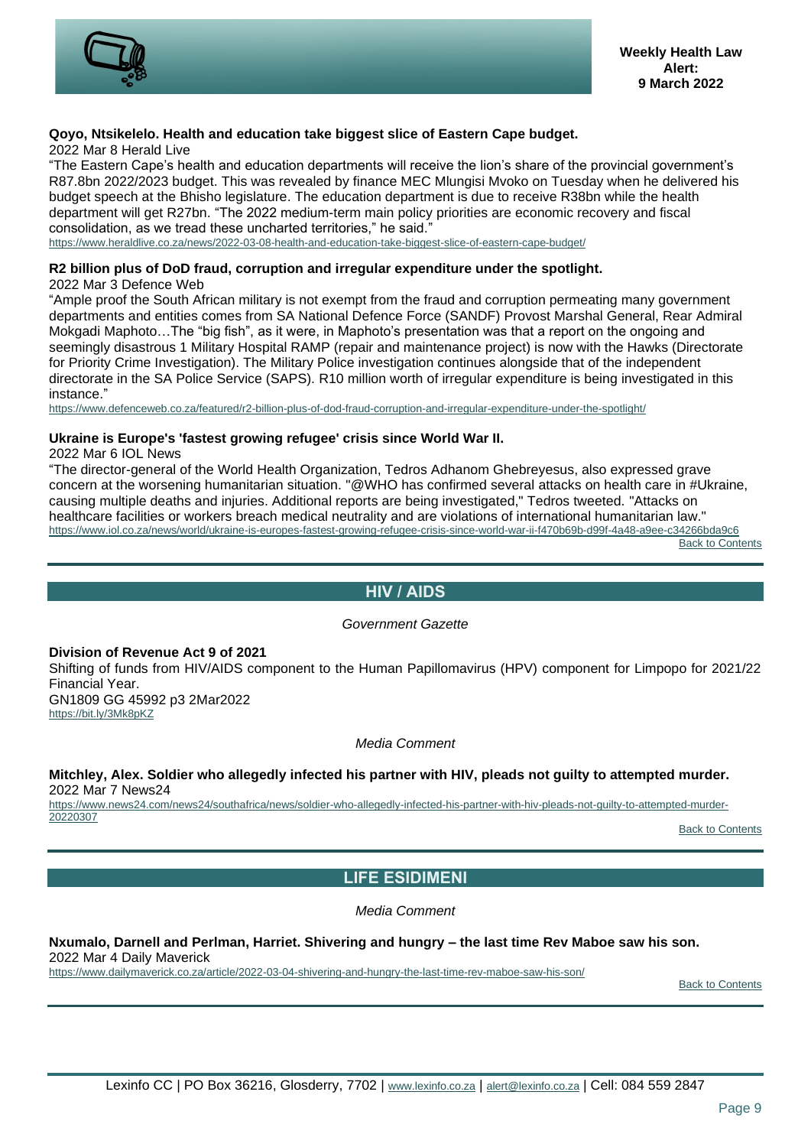

## **Qoyo, Ntsikelelo. Health and education take biggest slice of Eastern Cape budget.**

2022 Mar 8 Herald Live

"The Eastern Cape's health and education departments will receive the lion's share of the provincial government's R87.8bn 2022/2023 budget. This was revealed by finance MEC Mlungisi Mvoko on Tuesday when he delivered his budget speech at the Bhisho legislature. The education department is due to receive R38bn while the health department will get R27bn. "The 2022 medium-term main policy priorities are economic recovery and fiscal consolidation, as we tread these uncharted territories," he said.

<https://www.heraldlive.co.za/news/2022-03-08-health-and-education-take-biggest-slice-of-eastern-cape-budget/>

## **R2 billion plus of DoD fraud, corruption and irregular expenditure under the spotlight.**

2022 Mar 3 Defence Web

"Ample proof the South African military is not exempt from the fraud and corruption permeating many government departments and entities comes from SA National Defence Force (SANDF) Provost Marshal General, Rear Admiral Mokgadi Maphoto…The "big fish", as it were, in Maphoto's presentation was that a report on the ongoing and seemingly disastrous 1 Military Hospital RAMP (repair and maintenance project) is now with the Hawks (Directorate for Priority Crime Investigation). The Military Police investigation continues alongside that of the independent directorate in the SA Police Service (SAPS). R10 million worth of irregular expenditure is being investigated in this instance."

<https://www.defenceweb.co.za/featured/r2-billion-plus-of-dod-fraud-corruption-and-irregular-expenditure-under-the-spotlight/>

## **Ukraine is Europe's 'fastest growing refugee' crisis since World War II.**

2022 Mar 6 IOL News

"The director-general of the World Health Organization, Tedros Adhanom Ghebreyesus, also expressed grave concern at the worsening humanitarian situation. "@WHO has confirmed several attacks on health care in #Ukraine, causing multiple deaths and injuries. Additional reports are being investigated," Tedros tweeted. "Attacks on healthcare facilities or workers breach medical neutrality and are violations of international humanitarian law." <https://www.iol.co.za/news/world/ukraine-is-europes-fastest-growing-refugee-crisis-since-world-war-ii-f470b69b-d99f-4a48-a9ee-c34266bda9c6>

[Back to Contents](#page-0-1)

## **HIV / AIDS**

*Government Gazette*

<span id="page-8-0"></span>**Division of Revenue Act 9 of 2021** Shifting of funds from HIV/AIDS component to the Human Papillomavirus (HPV) component for Limpopo for 2021/22 Financial Year. GN1809 GG 45992 p3 2Mar2022

<https://bit.ly/3Mk8pKZ>

*Media Comment*

#### **Mitchley, Alex. Soldier who allegedly infected his partner with HIV, pleads not guilty to attempted murder.** 2022 Mar 7 News24

[https://www.news24.com/news24/southafrica/news/soldier-who-allegedly-infected-his-partner-with-hiv-pleads-not-guilty-to-attempted-murder-](https://www.news24.com/news24/southafrica/news/soldier-who-allegedly-infected-his-partner-with-hiv-pleads-not-guilty-to-attempted-murder-20220307)[20220307](https://www.news24.com/news24/southafrica/news/soldier-who-allegedly-infected-his-partner-with-hiv-pleads-not-guilty-to-attempted-murder-20220307)

[Back to Contents](#page-0-1)

# **LIFE ESIDIMENI**

*Media Comment*

## <span id="page-8-1"></span>**Nxumalo, Darnell and Perlman, Harriet. Shivering and hungry – the last time Rev Maboe saw his son.**

2022 Mar 4 Daily Maverick

<https://www.dailymaverick.co.za/article/2022-03-04-shivering-and-hungry-the-last-time-rev-maboe-saw-his-son/>

[Back to Contents](#page-0-1)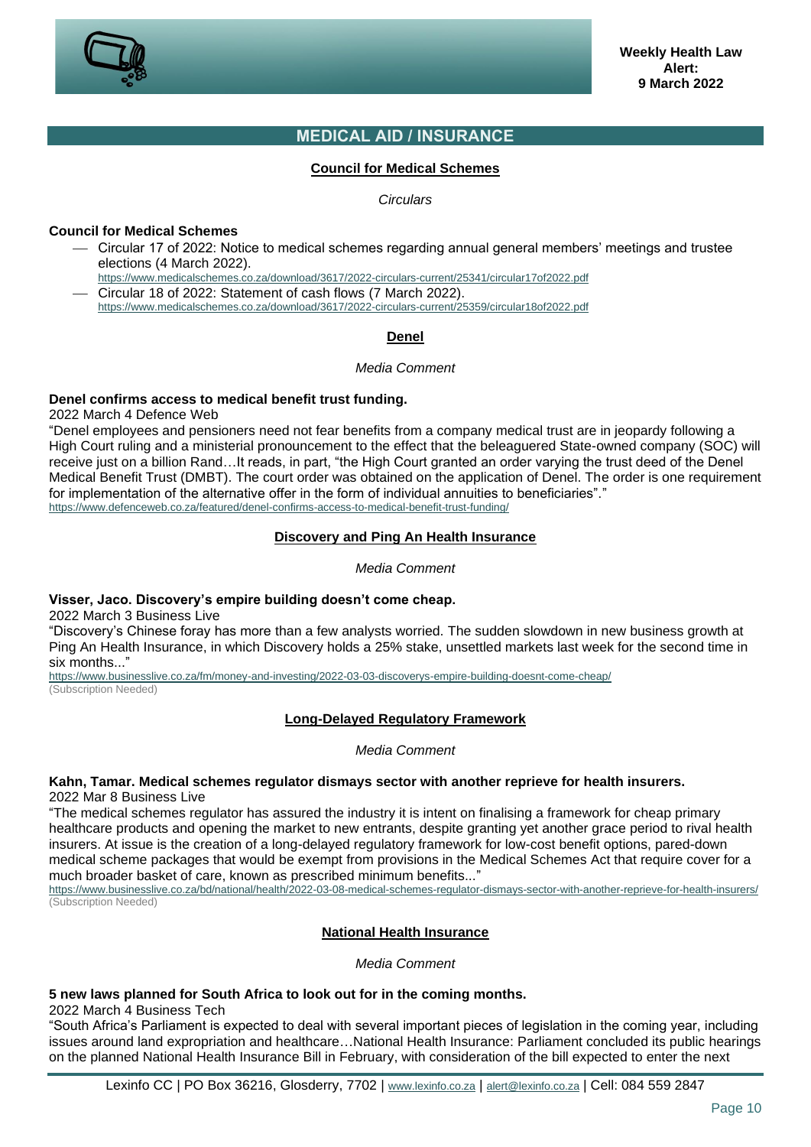

# **MEDICAL AID / INSURANCE**

## **Council for Medical Schemes**

## *Circulars*

## <span id="page-9-1"></span><span id="page-9-0"></span>**Council for Medical Schemes**

⎯ Circular 17 of 2022: Notice to medical schemes regarding annual general members' meetings and trustee elections (4 March 2022).

<https://www.medicalschemes.co.za/download/3617/2022-circulars-current/25341/circular17of2022.pdf> ⎯ Circular 18 of 2022: Statement of cash flows (7 March 2022).

<span id="page-9-2"></span><https://www.medicalschemes.co.za/download/3617/2022-circulars-current/25359/circular18of2022.pdf>

## **Denel**

## *Media Comment*

## **Denel confirms access to medical benefit trust funding.**

2022 March 4 Defence Web

"Denel employees and pensioners need not fear benefits from a company medical trust are in jeopardy following a High Court ruling and a ministerial pronouncement to the effect that the beleaguered State-owned company (SOC) will receive just on a billion Rand…It reads, in part, "the High Court granted an order varying the trust deed of the Denel Medical Benefit Trust (DMBT). The court order was obtained on the application of Denel. The order is one requirement for implementation of the alternative offer in the form of individual annuities to beneficiaries"." <https://www.defenceweb.co.za/featured/denel-confirms-access-to-medical-benefit-trust-funding/>

## **Discovery and Ping An Health Insurance**

*Media Comment*

## <span id="page-9-3"></span>**Visser, Jaco. Discovery's empire building doesn't come cheap.**

2022 March 3 Business Live

"Discovery's Chinese foray has more than a few analysts worried. The sudden slowdown in new business growth at Ping An Health Insurance, in which Discovery holds a 25% stake, unsettled markets last week for the second time in six months..."

<span id="page-9-4"></span><https://www.businesslive.co.za/fm/money-and-investing/2022-03-03-discoverys-empire-building-doesnt-come-cheap/> (Subscription Needed)

## **Long-Delayed Regulatory Framework**

*Media Comment*

# **Kahn, Tamar. Medical schemes regulator dismays sector with another reprieve for health insurers.**

2022 Mar 8 Business Live

"The medical schemes regulator has assured the industry it is intent on finalising a framework for cheap primary healthcare products and opening the market to new entrants, despite granting yet another grace period to rival health insurers. At issue is the creation of a long-delayed regulatory framework for low-cost benefit options, pared-down medical scheme packages that would be exempt from provisions in the Medical Schemes Act that require cover for a much broader basket of care, known as prescribed minimum benefits..."

<span id="page-9-5"></span><https://www.businesslive.co.za/bd/national/health/2022-03-08-medical-schemes-regulator-dismays-sector-with-another-reprieve-for-health-insurers/> (Subscription Needed)

## **National Health Insurance**

*Media Comment*

## **5 new laws planned for South Africa to look out for in the coming months.**

2022 March 4 Business Tech

"South Africa's Parliament is expected to deal with several important pieces of legislation in the coming year, including issues around land expropriation and healthcare…National Health Insurance: Parliament concluded its public hearings on the planned National Health Insurance Bill in February, with consideration of the bill expected to enter the next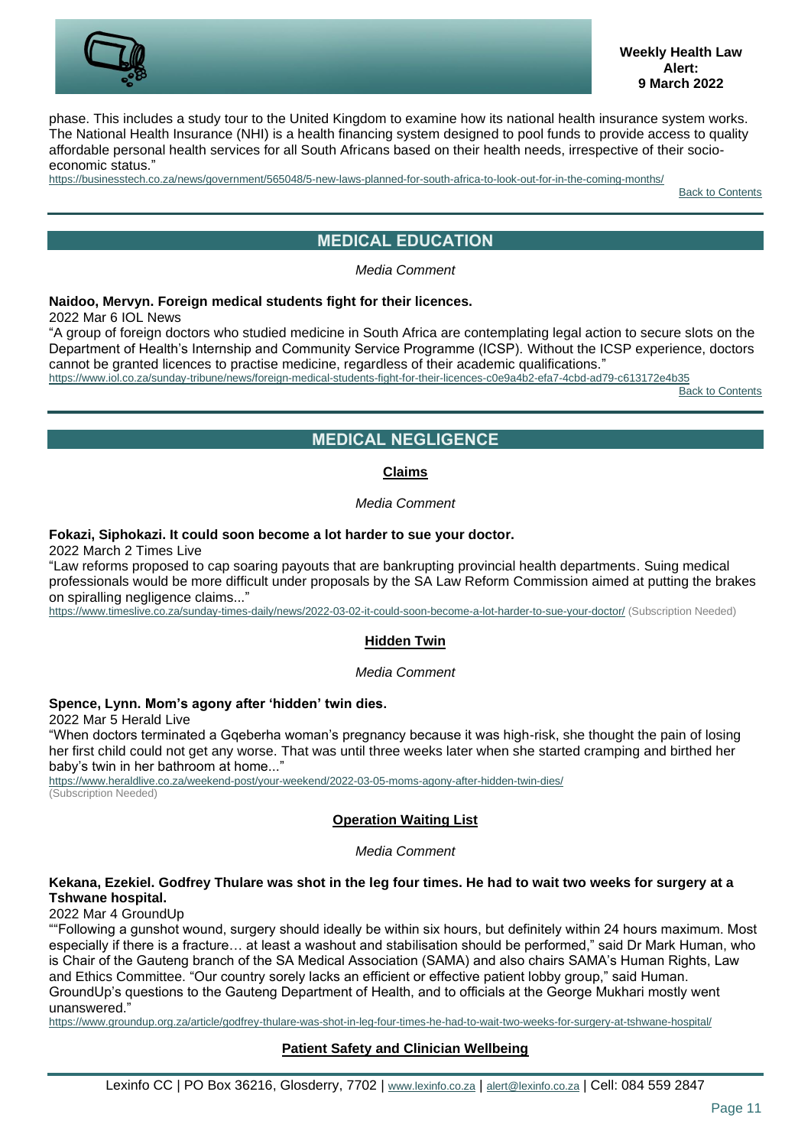

phase. This includes a study tour to the United Kingdom to examine how its national health insurance system works. The National Health Insurance (NHI) is a health financing system designed to pool funds to provide access to quality affordable personal health services for all South Africans based on their health needs, irrespective of their socioeconomic status."

<span id="page-10-0"></span><https://businesstech.co.za/news/government/565048/5-new-laws-planned-for-south-africa-to-look-out-for-in-the-coming-months/>

[Back to Contents](#page-0-1)

# **MEDICAL EDUCATION**

*Media Comment*

## **Naidoo, Mervyn. Foreign medical students fight for their licences.**

2022 Mar 6 IOL News

"A group of foreign doctors who studied medicine in South Africa are contemplating legal action to secure slots on the Department of Health's Internship and Community Service Programme (ICSP). Without the ICSP experience, doctors cannot be granted licences to practise medicine, regardless of their academic qualifications."

<span id="page-10-1"></span><https://www.iol.co.za/sunday-tribune/news/foreign-medical-students-fight-for-their-licences-c0e9a4b2-efa7-4cbd-ad79-c613172e4b35>

**[Back to Contents](#page-0-1)** 

# **MEDICAL NEGLIGENCE**

## **Claims**

*Media Comment*

## <span id="page-10-2"></span>**Fokazi, Siphokazi. It could soon become a lot harder to sue your doctor.**

2022 March 2 Times Live

"Law reforms proposed to cap soaring payouts that are bankrupting provincial health departments. Suing medical professionals would be more difficult under proposals by the SA Law Reform Commission aimed at putting the brakes on spiralling negligence claims..."

<span id="page-10-3"></span><https://www.timeslive.co.za/sunday-times-daily/news/2022-03-02-it-could-soon-become-a-lot-harder-to-sue-your-doctor/> (Subscription Needed)

## **Hidden Twin**

*Media Comment*

## **Spence, Lynn. Mom's agony after 'hidden' twin dies.**

2022 Mar 5 Herald Live

"When doctors terminated a Gqeberha woman's pregnancy because it was high-risk, she thought the pain of losing her first child could not get any worse. That was until three weeks later when she started cramping and birthed her baby's twin in her bathroom at home..."

<span id="page-10-4"></span><https://www.heraldlive.co.za/weekend-post/your-weekend/2022-03-05-moms-agony-after-hidden-twin-dies/> (Subscription Needed)

## **Operation Waiting List**

*Media Comment*

## **Kekana, Ezekiel. Godfrey Thulare was shot in the leg four times. He had to wait two weeks for surgery at a Tshwane hospital.**

2022 Mar 4 GroundUp

""Following a gunshot wound, surgery should ideally be within six hours, but definitely within 24 hours maximum. Most especially if there is a fracture… at least a washout and stabilisation should be performed," said Dr Mark Human, who is Chair of the Gauteng branch of the SA Medical Association (SAMA) and also chairs SAMA's Human Rights, Law and Ethics Committee. "Our country sorely lacks an efficient or effective patient lobby group," said Human. GroundUp's questions to the Gauteng Department of Health, and to officials at the George Mukhari mostly went unanswered."

<span id="page-10-5"></span><https://www.groundup.org.za/article/godfrey-thulare-was-shot-in-leg-four-times-he-had-to-wait-two-weeks-for-surgery-at-tshwane-hospital/>

## **Patient Safety and Clinician Wellbeing**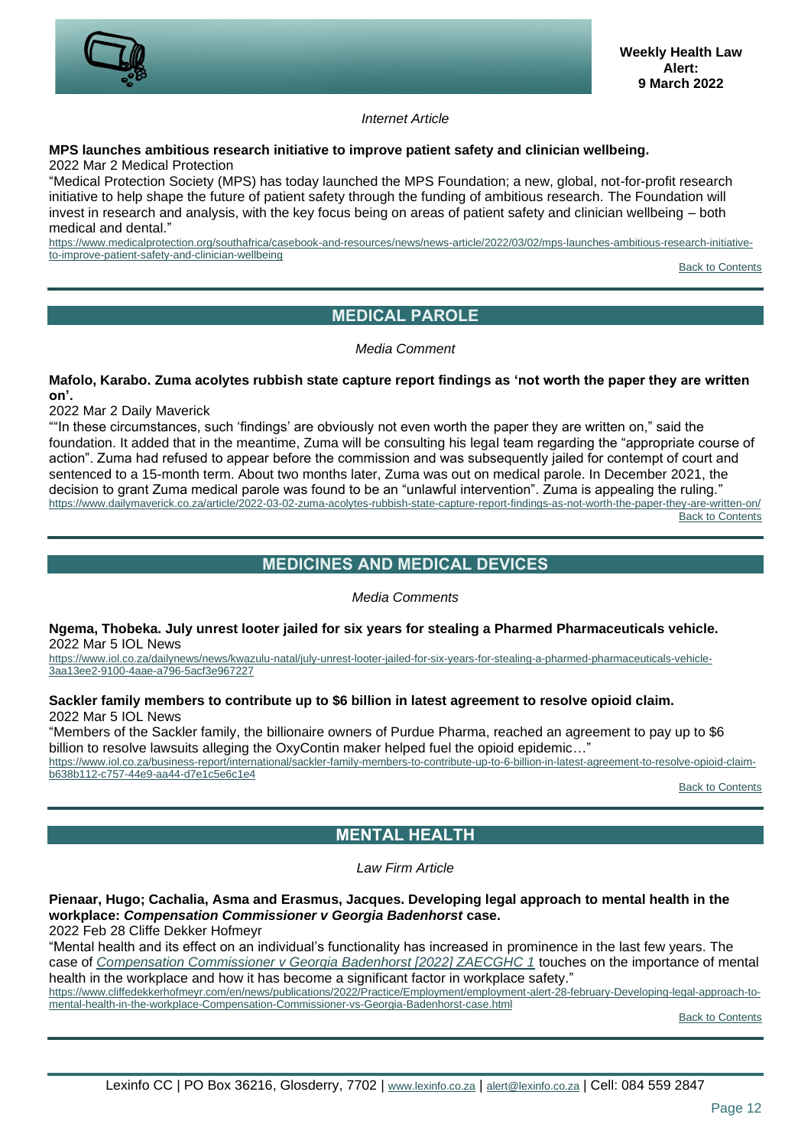

*Internet Article*

#### **MPS launches ambitious research initiative to improve patient safety and clinician wellbeing.** 2022 Mar 2 Medical Protection

"Medical Protection Society (MPS) has today launched the MPS Foundation; a new, global, not-for-profit research initiative to help shape the future of patient safety through the funding of ambitious research. The Foundation will invest in research and analysis, with the key focus being on areas of patient safety and clinician wellbeing – both medical and dental."

[https://www.medicalprotection.org/southafrica/casebook-and-resources/news/news-article/2022/03/02/mps-launches-ambitious-research-initiative](https://www.medicalprotection.org/southafrica/casebook-and-resources/news/news-article/2022/03/02/mps-launches-ambitious-research-initiative-to-improve-patient-safety-and-clinician-wellbeing)[to-improve-patient-safety-and-clinician-wellbeing](https://www.medicalprotection.org/southafrica/casebook-and-resources/news/news-article/2022/03/02/mps-launches-ambitious-research-initiative-to-improve-patient-safety-and-clinician-wellbeing)

[Back to Contents](#page-0-1)

# **MEDICAL PAROLE**

*Media Comment*

## <span id="page-11-0"></span>**Mafolo, Karabo. Zuma acolytes rubbish state capture report findings as 'not worth the paper they are written on'.**

2022 Mar 2 Daily Maverick

""In these circumstances, such 'findings' are obviously not even worth the paper they are written on," said the foundation. It added that in the meantime, Zuma will be consulting his legal team regarding the "appropriate course of action". Zuma had refused to appear before the commission and was subsequently jailed for contempt of court and sentenced to a 15-month term. About two months later, Zuma was out on medical parole. In December 2021, the decision to grant Zuma medical parole was found to be an "unlawful intervention". Zuma is appealing the ruling." <https://www.dailymaverick.co.za/article/2022-03-02-zuma-acolytes-rubbish-state-capture-report-findings-as-not-worth-the-paper-they-are-written-on/>

[Back to Contents](#page-0-1)

# **MEDICINES AND MEDICAL DEVICES**

*Media Comments*

<span id="page-11-1"></span>**Ngema, Thobeka. July unrest looter jailed for six years for stealing a Pharmed Pharmaceuticals vehicle.** 2022 Mar 5 IOL News

[https://www.iol.co.za/dailynews/news/kwazulu-natal/july-unrest-looter-jailed-for-six-years-for-stealing-a-pharmed-pharmaceuticals-vehicle-](https://www.iol.co.za/dailynews/news/kwazulu-natal/july-unrest-looter-jailed-for-six-years-for-stealing-a-pharmed-pharmaceuticals-vehicle-3aa13ee2-9100-4aae-a796-5acf3e967227)[3aa13ee2-9100-4aae-a796-5acf3e967227](https://www.iol.co.za/dailynews/news/kwazulu-natal/july-unrest-looter-jailed-for-six-years-for-stealing-a-pharmed-pharmaceuticals-vehicle-3aa13ee2-9100-4aae-a796-5acf3e967227)

## **Sackler family members to contribute up to \$6 billion in latest agreement to resolve opioid claim.** 2022 Mar 5 IOL News

"Members of the Sackler family, the billionaire owners of Purdue Pharma, reached an agreement to pay up to \$6 billion to resolve lawsuits alleging the OxyContin maker helped fuel the opioid epidemic..."

[https://www.iol.co.za/business-report/international/sackler-family-members-to-contribute-up-to-6-billion-in-latest-agreement-to-resolve-opioid-claim](https://www.iol.co.za/business-report/international/sackler-family-members-to-contribute-up-to-6-billion-in-latest-agreement-to-resolve-opioid-claim-b638b112-c757-44e9-aa44-d7e1c5e6c1e4)[b638b112-c757-44e9-aa44-d7e1c5e6c1e4](https://www.iol.co.za/business-report/international/sackler-family-members-to-contribute-up-to-6-billion-in-latest-agreement-to-resolve-opioid-claim-b638b112-c757-44e9-aa44-d7e1c5e6c1e4)

[Back to Contents](#page-0-1)

# **MENTAL HEALTH**

*Law Firm Article*

## <span id="page-11-2"></span>**Pienaar, Hugo; Cachalia, Asma and Erasmus, Jacques. Developing legal approach to mental health in the workplace:** *Compensation Commissioner v Georgia Badenhorst* **case.**

2022 Feb 28 Cliffe Dekker Hofmeyr

"Mental health and its effect on an individual's functionality has increased in prominence in the last few years. The case of *[Compensation Commissioner v Georgia Badenhorst \[2022\] ZAECGHC 1](http://www.saflii.org/za/cases/ZAECGHC/2022/1.pdf)* touches on the importance of mental health in the workplace and how it has become a significant factor in workplace safety."

[https://www.cliffedekkerhofmeyr.com/en/news/publications/2022/Practice/Employment/employment-alert-28-february-Developing-legal-approach-to](https://www.cliffedekkerhofmeyr.com/en/news/publications/2022/Practice/Employment/employment-alert-28-february-Developing-legal-approach-to-mental-health-in-the-workplace-Compensation-Commissioner-vs-Georgia-Badenhorst-case.html)[mental-health-in-the-workplace-Compensation-Commissioner-vs-Georgia-Badenhorst-case.html](https://www.cliffedekkerhofmeyr.com/en/news/publications/2022/Practice/Employment/employment-alert-28-february-Developing-legal-approach-to-mental-health-in-the-workplace-Compensation-Commissioner-vs-Georgia-Badenhorst-case.html)

[Back to Contents](#page-0-1)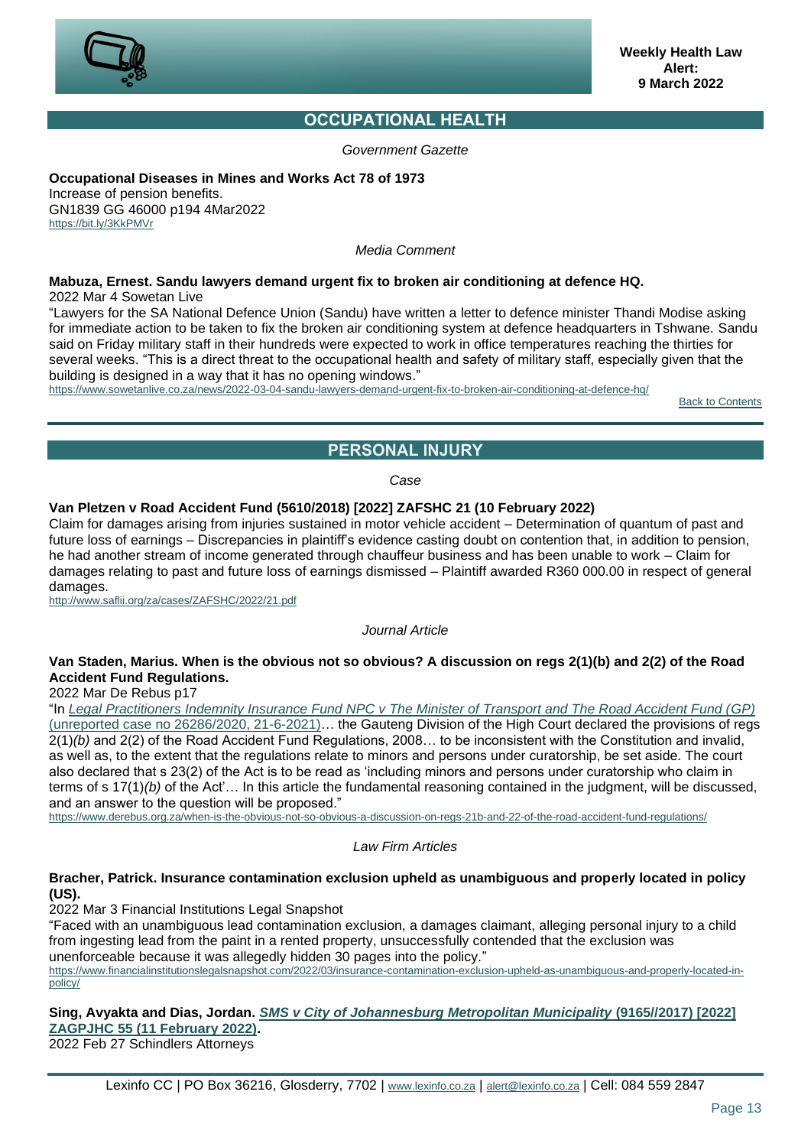

# **OCCUPATIONAL HEALTH**

*Government Gazette*

<span id="page-12-0"></span>**Occupational Diseases in Mines and Works Act 78 of 1973** Increase of pension benefits. GN1839 GG 46000 p194 4Mar2022 <https://bit.ly/3KkPMVr>

*Media Comment*

# **Mabuza, Ernest. Sandu lawyers demand urgent fix to broken air conditioning at defence HQ.**

2022 Mar 4 Sowetan Live

"Lawyers for the SA National Defence Union (Sandu) have written a letter to defence minister Thandi Modise asking for immediate action to be taken to fix the broken air conditioning system at defence headquarters in Tshwane. Sandu said on Friday military staff in their hundreds were expected to work in office temperatures reaching the thirties for several weeks. "This is a direct threat to the occupational health and safety of military staff, especially given that the building is designed in a way that it has no opening windows."

<span id="page-12-1"></span><https://www.sowetanlive.co.za/news/2022-03-04-sandu-lawyers-demand-urgent-fix-to-broken-air-conditioning-at-defence-hq/>

[Back to Contents](#page-0-1)

# **PERSONAL INJURY**

*Case*

## **Van Pletzen v Road Accident Fund (5610/2018) [2022] ZAFSHC 21 (10 February 2022)**

Claim for damages arising from injuries sustained in motor vehicle accident – Determination of quantum of past and future loss of earnings – Discrepancies in plaintiff's evidence casting doubt on contention that, in addition to pension, he had another stream of income generated through chauffeur business and has been unable to work – Claim for damages relating to past and future loss of earnings dismissed – Plaintiff awarded R360 000.00 in respect of general damages.

<http://www.saflii.org/za/cases/ZAFSHC/2022/21.pdf>

*Journal Article*

## **Van Staden, Marius. When is the obvious not so obvious? A discussion on regs 2(1)(b) and 2(2) of the Road Accident Fund Regulations.**

2022 Mar De Rebus p17

"In *[Legal Practitioners Indemnity Insurance Fund NPC v The Minister of Transport and The Road Accident Fund \(GP\)](https://lpiif.co.za/wp-content/uploads/2021/06/LP-INDEMNITY-INSURANCE-FUND-NPC-V-MINISTER-OF-TRANSPORT-ANOTHER-_-CASE-NO.-26286.2020.pdf)* [\(unreported case no 26286/2020, 21-6-2021\)…](https://lpiif.co.za/wp-content/uploads/2021/06/LP-INDEMNITY-INSURANCE-FUND-NPC-V-MINISTER-OF-TRANSPORT-ANOTHER-_-CASE-NO.-26286.2020.pdf) the Gauteng Division of the High Court declared the provisions of regs 2(1)*(b)* and 2(2) of the Road Accident Fund Regulations, 2008… to be inconsistent with the Constitution and invalid, as well as, to the extent that the regulations relate to minors and persons under curatorship, be set aside. The court also declared that s 23(2) of the Act is to be read as 'including minors and persons under curatorship who claim in terms of s 17(1)*(b)* of the Act'… In this article the fundamental reasoning contained in the judgment, will be discussed, and an answer to the question will be proposed."

<https://www.derebus.org.za/when-is-the-obvious-not-so-obvious-a-discussion-on-regs-21b-and-22-of-the-road-accident-fund-regulations/>

*Law Firm Articles*

## **Bracher, Patrick. Insurance contamination exclusion upheld as unambiguous and properly located in policy (US).**

2022 Mar 3 Financial Institutions Legal Snapshot

"Faced with an unambiguous lead contamination exclusion, a damages claimant, alleging personal injury to a child from ingesting lead from the paint in a rented property, unsuccessfully contended that the exclusion was unenforceable because it was allegedly hidden 30 pages into the policy." [https://www.financialinstitutionslegalsnapshot.com/2022/03/insurance-contamination-exclusion-upheld-as-unambiguous-and-properly-located-in](https://www.financialinstitutionslegalsnapshot.com/2022/03/insurance-contamination-exclusion-upheld-as-unambiguous-and-properly-located-in-policy/)[policy/](https://www.financialinstitutionslegalsnapshot.com/2022/03/insurance-contamination-exclusion-upheld-as-unambiguous-and-properly-located-in-policy/)

**Sing, Avyakta and Dias, Jordan.** *[SMS v City of Johannesburg Metropolitan Municipality](http://www.saflii.org/za/cases/ZAGPJHC/2022/55.pdf)* **(9165//2017) [2022] [ZAGPJHC 55 \(11 February 2022\).](http://www.saflii.org/za/cases/ZAGPJHC/2022/55.pdf)**

2022 Feb 27 Schindlers Attorneys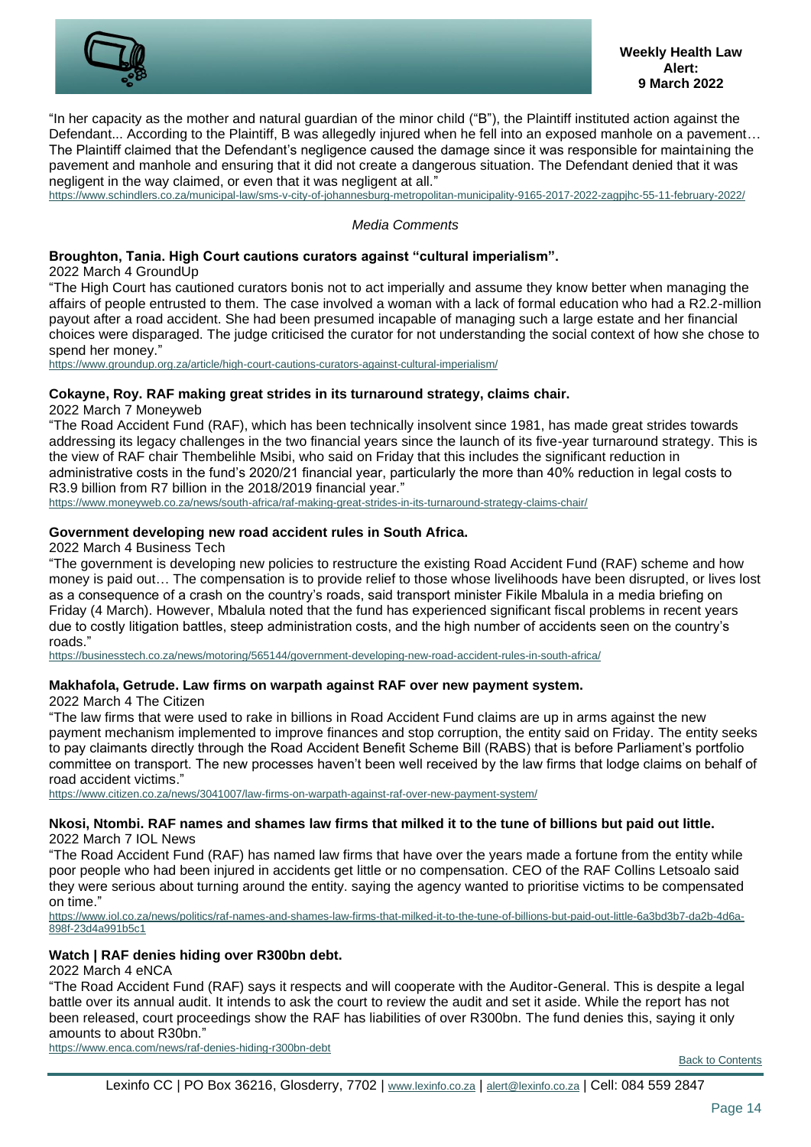

"In her capacity as the mother and natural guardian of the minor child ("B"), the Plaintiff instituted action against the Defendant... According to the Plaintiff, B was allegedly injured when he fell into an exposed manhole on a pavement... The Plaintiff claimed that the Defendant's negligence caused the damage since it was responsible for maintaining the pavement and manhole and ensuring that it did not create a dangerous situation. The Defendant denied that it was negligent in the way claimed, or even that it was negligent at all."

<https://www.schindlers.co.za/municipal-law/sms-v-city-of-johannesburg-metropolitan-municipality-9165-2017-2022-zagpjhc-55-11-february-2022/>

## *Media Comments*

## **Broughton, Tania. High Court cautions curators against "cultural imperialism".**

2022 March 4 GroundUp

"The High Court has cautioned curators bonis not to act imperially and assume they know better when managing the affairs of people entrusted to them. The case involved a woman with a lack of formal education who had a R2.2-million payout after a road accident. She had been presumed incapable of managing such a large estate and her financial choices were disparaged. The judge criticised the curator for not understanding the social context of how she chose to spend her money."

<https://www.groundup.org.za/article/high-court-cautions-curators-against-cultural-imperialism/>

## **Cokayne, Roy. RAF making great strides in its turnaround strategy, claims chair.**

2022 March 7 Moneyweb

"The Road Accident Fund (RAF), which has been technically insolvent since 1981, has made great strides towards addressing its legacy challenges in the two financial years since the launch of its five-year turnaround strategy. This is the view of RAF chair Thembelihle Msibi, who said on Friday that this includes the significant reduction in administrative costs in the fund's 2020/21 financial year, particularly the more than 40% reduction in legal costs to R3.9 billion from R7 billion in the 2018/2019 financial year."

<https://www.moneyweb.co.za/news/south-africa/raf-making-great-strides-in-its-turnaround-strategy-claims-chair/>

## **Government developing new road accident rules in South Africa.**

2022 March 4 Business Tech

"The government is developing new policies to restructure the existing Road Accident Fund (RAF) scheme and how money is paid out… The compensation is to provide relief to those whose livelihoods have been disrupted, or lives lost as a consequence of a crash on the country's roads, said transport minister Fikile Mbalula in a media briefing on Friday (4 March). However, Mbalula noted that the fund has experienced significant fiscal problems in recent years due to costly litigation battles, steep administration costs, and the high number of accidents seen on the country's roads."

<https://businesstech.co.za/news/motoring/565144/government-developing-new-road-accident-rules-in-south-africa/>

## **Makhafola, Getrude. Law firms on warpath against RAF over new payment system.**

2022 March 4 The Citizen

"The law firms that were used to rake in billions in Road Accident Fund claims are up in arms against the new payment mechanism implemented to improve finances and stop corruption, the entity said on Friday. The entity seeks to pay claimants directly through the Road Accident Benefit Scheme Bill (RABS) that is before Parliament's portfolio committee on transport. The new processes haven't been well received by the law firms that lodge claims on behalf of road accident victims."

<https://www.citizen.co.za/news/3041007/law-firms-on-warpath-against-raf-over-new-payment-system/>

## **Nkosi, Ntombi. RAF names and shames law firms that milked it to the tune of billions but paid out little.** 2022 March 7 IOL News

"The Road Accident Fund (RAF) has named law firms that have over the years made a fortune from the entity while poor people who had been injured in accidents get little or no compensation. CEO of the RAF Collins Letsoalo said they were serious about turning around the entity. saying the agency wanted to prioritise victims to be compensated on time."

[https://www.iol.co.za/news/politics/raf-names-and-shames-law-firms-that-milked-it-to-the-tune-of-billions-but-paid-out-little-6a3bd3b7-da2b-4d6a-](https://www.iol.co.za/news/politics/raf-names-and-shames-law-firms-that-milked-it-to-the-tune-of-billions-but-paid-out-little-6a3bd3b7-da2b-4d6a-898f-23d4a991b5c1)[898f-23d4a991b5c1](https://www.iol.co.za/news/politics/raf-names-and-shames-law-firms-that-milked-it-to-the-tune-of-billions-but-paid-out-little-6a3bd3b7-da2b-4d6a-898f-23d4a991b5c1)

## **Watch | RAF denies hiding over R300bn debt.**

## 2022 March 4 eNCA

"The Road Accident Fund (RAF) says it respects and will cooperate with the Auditor-General. This is despite a legal battle over its annual audit. It intends to ask the court to review the audit and set it aside. While the report has not been released, court proceedings show the RAF has liabilities of over R300bn. The fund denies this, saying it only amounts to about R30bn."

<https://www.enca.com/news/raf-denies-hiding-r300bn-debt>

**[Back to Contents](#page-0-1)**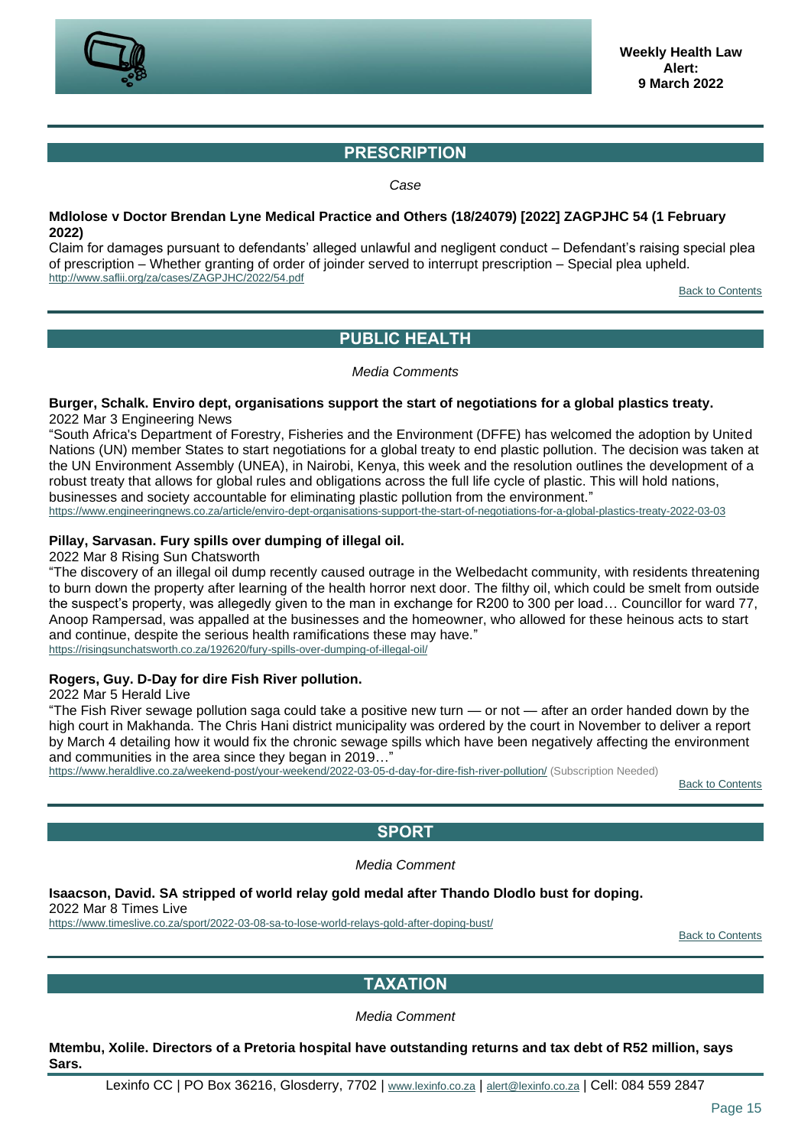

# **PRESCRIPTION**

*Case*

## <span id="page-14-0"></span>**Mdlolose v Doctor Brendan Lyne Medical Practice and Others (18/24079) [2022] ZAGPJHC 54 (1 February 2022)**

Claim for damages pursuant to defendants' alleged unlawful and negligent conduct – Defendant's raising special plea of prescription – Whether granting of order of joinder served to interrupt prescription – Special plea upheld. <http://www.saflii.org/za/cases/ZAGPJHC/2022/54.pdf>

**[Back to Contents](#page-0-1)** 

# **PUBLIC HEALTH**

*Media Comments*

#### <span id="page-14-1"></span>**Burger, Schalk. Enviro dept, organisations support the start of negotiations for a global plastics treaty.** 2022 Mar 3 Engineering News

"South Africa's Department of Forestry, Fisheries and the Environment (DFFE) has welcomed the adoption by United Nations (UN) member States to start negotiations for a global treaty to end plastic pollution. The decision was taken at the UN Environment Assembly (UNEA), in Nairobi, Kenya, this week and the resolution outlines the development of a robust treaty that allows for global rules and obligations across the full life cycle of plastic. This will hold nations, businesses and society accountable for eliminating plastic pollution from the environment."

<https://www.engineeringnews.co.za/article/enviro-dept-organisations-support-the-start-of-negotiations-for-a-global-plastics-treaty-2022-03-03>

## **Pillay, Sarvasan. Fury spills over dumping of illegal oil.**

2022 Mar 8 Rising Sun Chatsworth

"The discovery of an illegal oil dump recently caused outrage in the Welbedacht community, with residents threatening to burn down the property after learning of the health horror next door. The filthy oil, which could be smelt from outside the suspect's property, was allegedly given to the man in exchange for R200 to 300 per load… Councillor for ward 77, Anoop Rampersad, was appalled at the businesses and the homeowner, who allowed for these heinous acts to start and continue, despite the serious health ramifications these may have." <https://risingsunchatsworth.co.za/192620/fury-spills-over-dumping-of-illegal-oil/>

## **Rogers, Guy. D-Day for dire Fish River pollution.**

2022 Mar 5 Herald Live

"The Fish River sewage pollution saga could take a positive new turn — or not — after an order handed down by the high court in Makhanda. The Chris Hani district municipality was ordered by the court in November to deliver a report by March 4 detailing how it would fix the chronic sewage spills which have been negatively affecting the environment and communities in the area since they began in 2019…"

<span id="page-14-2"></span><https://www.heraldlive.co.za/weekend-post/your-weekend/2022-03-05-d-day-for-dire-fish-river-pollution/> (Subscription Needed)

[Back to Contents](#page-0-1)

# **SPORT**

*Media Comment*

## **Isaacson, David. SA stripped of world relay gold medal after Thando Dlodlo bust for doping.**

2022 Mar 8 Times Live

<span id="page-14-3"></span><https://www.timeslive.co.za/sport/2022-03-08-sa-to-lose-world-relays-gold-after-doping-bust/>

[Back to Contents](#page-0-1)

# **TAXATION**

## *Media Comment*

**Mtembu, Xolile. Directors of a Pretoria hospital have outstanding returns and tax debt of R52 million, says Sars.**